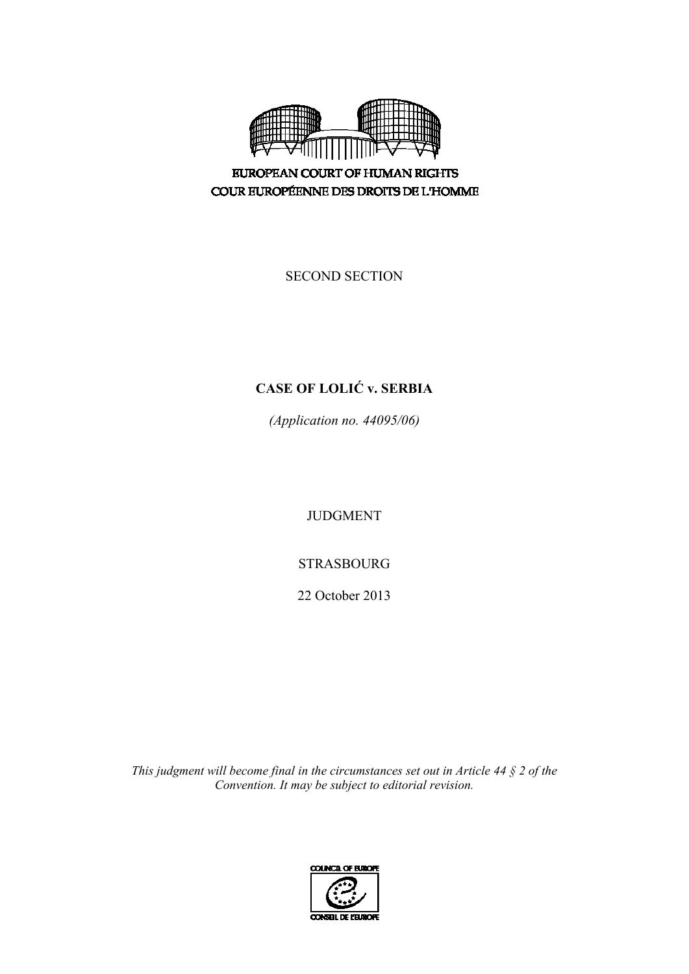

**EUROPEAN COURT OF HUMAN RIGHTS** COUR EUROPÉENNE DES DROITS DE L'HOMME

SECOND SECTION

# **CASE OF LOLIĆ v. SERBIA**

*(Application no. 44095/06)* 

JUDGMENT

STRASBOURG

22 October 2013

*This judgment will become final in the circumstances set out in Article 44 § 2 of the Convention. It may be subject to editorial revision.*

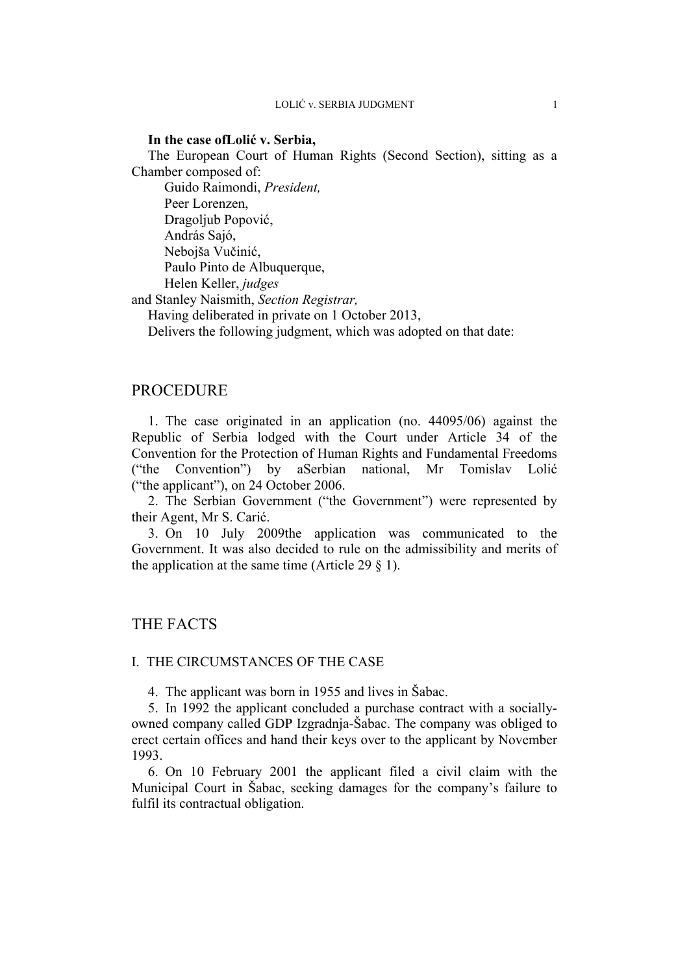## **In the case ofLolić v. Serbia,**

The European Court of Human Rights (Second Section), sitting as a Chamber composed of:

 Guido Raimondi, *President,*  Peer Lorenzen, Dragoljub Popović, András Sajó, Nebojša Vučinić, Paulo Pinto de Albuquerque, Helen Keller, *judges*

and Stanley Naismith, *Section Registrar,*

Having deliberated in private on 1 October 2013,

Delivers the following judgment, which was adopted on that date:

# PROCEDURE

1. The case originated in an application (no. 44095/06) against the Republic of Serbia lodged with the Court under Article 34 of the Convention for the Protection of Human Rights and Fundamental Freedoms ("the Convention") by aSerbian national, Mr Tomislav Lolić ("the applicant"), on 24 October 2006.

2. The Serbian Government ("the Government") were represented by their Agent, Mr S. Carić.

3. On 10 July 2009the application was communicated to the Government. It was also decided to rule on the admissibility and merits of the application at the same time (Article 29  $\S$  1).

# THE FACTS

#### I. THE CIRCUMSTANCES OF THE CASE

4. The applicant was born in 1955 and lives in Šabac.

5. In 1992 the applicant concluded a purchase contract with a sociallyowned company called GDP Izgradnja-Šabac. The company was obliged to erect certain offices and hand their keys over to the applicant by November 1993.

6. On 10 February 2001 the applicant filed a civil claim with the Municipal Court in Šabac, seeking damages for the company's failure to fulfil its contractual obligation.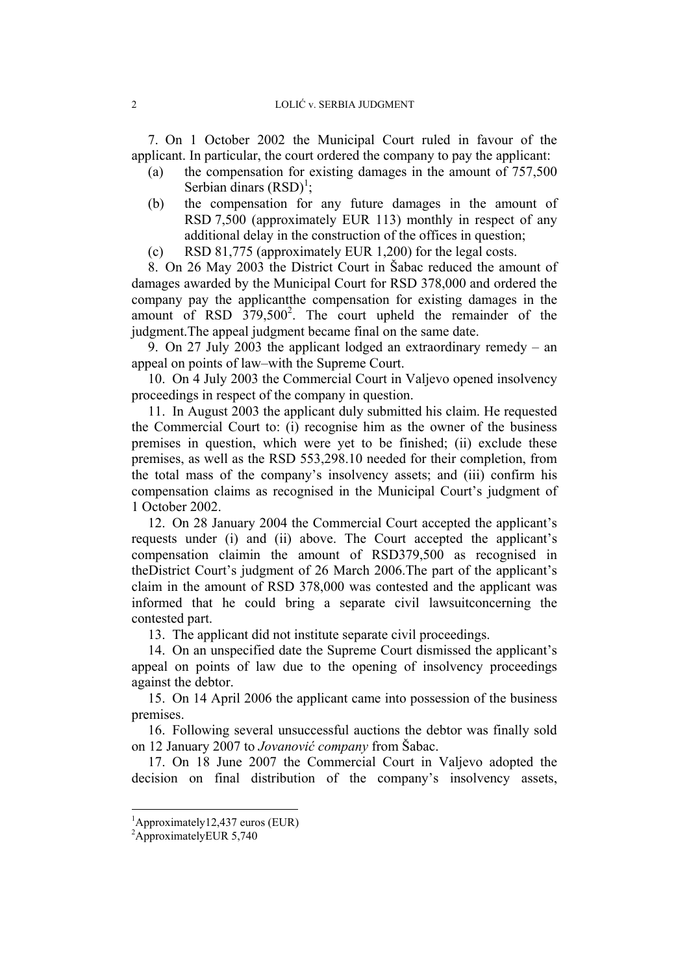7. On 1 October 2002 the Municipal Court ruled in favour of the applicant. In particular, the court ordered the company to pay the applicant:

- (a) the compensation for existing damages in the amount of 757,500 Serbian dinars  $(RSD)^1$ ;
- (b) the compensation for any future damages in the amount of RSD 7,500 (approximately EUR 113) monthly in respect of any additional delay in the construction of the offices in question;
- (c) RSD 81,775 (approximately EUR 1,200) for the legal costs.

8. On 26 May 2003 the District Court in Šabac reduced the amount of damages awarded by the Municipal Court for RSD 378,000 and ordered the company pay the applicantthe compensation for existing damages in the amount of RSD 379,500<sup>2</sup>. The court upheld the remainder of the judgment.The appeal judgment became final on the same date.

9. On 27 July 2003 the applicant lodged an extraordinary remedy – an appeal on points of law–with the Supreme Court.

10. On 4 July 2003 the Commercial Court in Valjevo opened insolvency proceedings in respect of the company in question.

11. In August 2003 the applicant duly submitted his claim. He requested the Commercial Court to: (i) recognise him as the owner of the business premises in question, which were yet to be finished; (ii) exclude these premises, as well as the RSD 553,298.10 needed for their completion, from the total mass of the company's insolvency assets; and (iii) confirm his compensation claims as recognised in the Municipal Court's judgment of 1 October 2002.

12. On 28 January 2004 the Commercial Court accepted the applicant's requests under (i) and (ii) above. The Court accepted the applicant's compensation claimin the amount of RSD379,500 as recognised in theDistrict Court's judgment of 26 March 2006.The part of the applicant's claim in the amount of RSD 378,000 was contested and the applicant was informed that he could bring a separate civil lawsuitconcerning the contested part.

13. The applicant did not institute separate civil proceedings.

14. On an unspecified date the Supreme Court dismissed the applicant's appeal on points of law due to the opening of insolvency proceedings against the debtor.

15. On 14 April 2006 the applicant came into possession of the business premises.

16. Following several unsuccessful auctions the debtor was finally sold on 12 January 2007 to *Jovanović company* from Šabac.

17. On 18 June 2007 the Commercial Court in Valjevo adopted the decision on final distribution of the company's insolvency assets,

1

<sup>1</sup> Approximately12,437 euros (EUR)

<sup>&</sup>lt;sup>2</sup>ApproximatelyEUR 5,740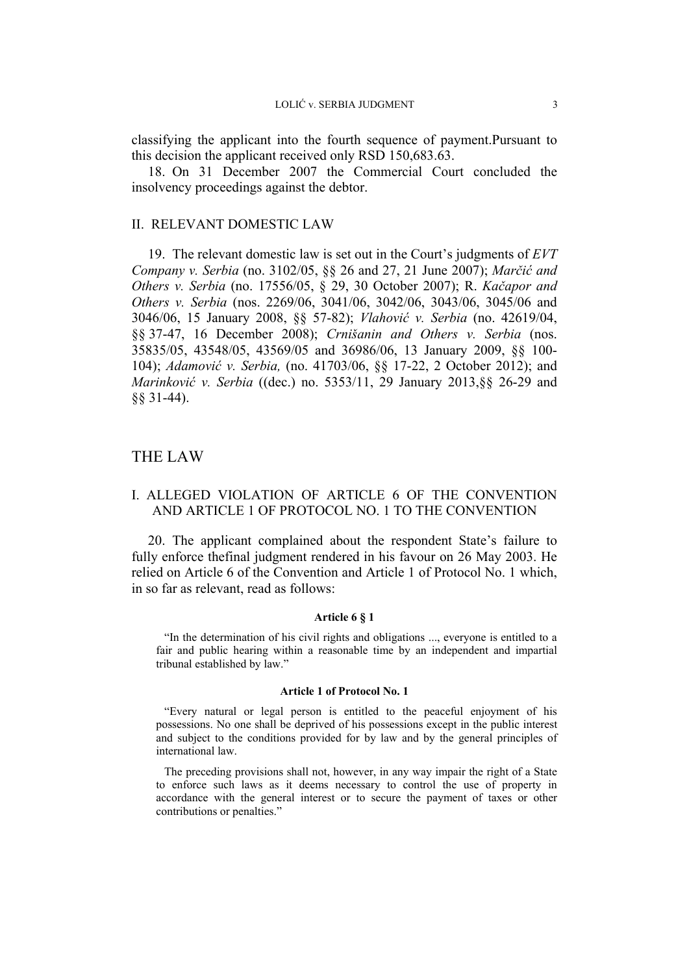classifying the applicant into the fourth sequence of payment.Pursuant to this decision the applicant received only RSD 150,683.63.

18. On 31 December 2007 the Commercial Court concluded the insolvency proceedings against the debtor.

#### II. RELEVANT DOMESTIC LAW

19. The relevant domestic law is set out in the Court's judgments of *EVT Company v. Serbia* (no. 3102/05, §§ 26 and 27, 21 June 2007); *Marčić and Others v. Serbia* (no. 17556/05, § 29, 30 October 2007); R. *Kačapor and Others v. Serbia* (nos. 2269/06, 3041/06, 3042/06, 3043/06, 3045/06 and 3046/06, 15 January 2008, §§ 57-82); *Vlahović v. Serbia* (no. 42619/04, §§ 37-47, 16 December 2008); *Crnišanin and Others v. Serbia* (nos. 35835/05, 43548/05, 43569/05 and 36986/06, 13 January 2009, §§ 100- 104); *Adamović v. Serbia,* (no. 41703/06, §§ 17-22, 2 October 2012); and *Marinković v. Serbia* ((dec.) no. 5353/11, 29 January 2013,§§ 26-29 and §§ 31-44).

# THE LAW

# I. ALLEGED VIOLATION OF ARTICLE 6 OF THE CONVENTION AND ARTICLE 1 OF PROTOCOL NO. 1 TO THE CONVENTION

20. The applicant complained about the respondent State's failure to fully enforce thefinal judgment rendered in his favour on 26 May 2003. He relied on Article 6 of the Convention and Article 1 of Protocol No. 1 which, in so far as relevant, read as follows:

#### **Article 6 § 1**

"In the determination of his civil rights and obligations ..., everyone is entitled to a fair and public hearing within a reasonable time by an independent and impartial tribunal established by law."

#### **Article 1 of Protocol No. 1**

"Every natural or legal person is entitled to the peaceful enjoyment of his possessions. No one shall be deprived of his possessions except in the public interest and subject to the conditions provided for by law and by the general principles of international law.

The preceding provisions shall not, however, in any way impair the right of a State to enforce such laws as it deems necessary to control the use of property in accordance with the general interest or to secure the payment of taxes or other contributions or penalties."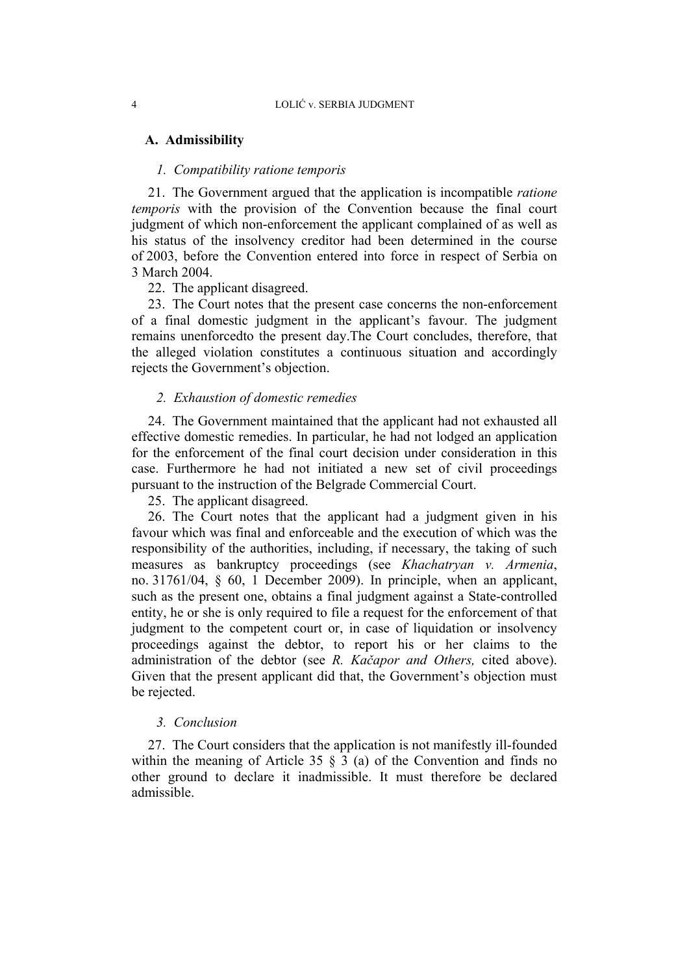## **A. Admissibility**

## *1. Compatibility ratione temporis*

21. The Government argued that the application is incompatible *ratione temporis* with the provision of the Convention because the final court judgment of which non-enforcement the applicant complained of as well as his status of the insolvency creditor had been determined in the course of 2003, before the Convention entered into force in respect of Serbia on 3 March 2004.

22. The applicant disagreed.

23. The Court notes that the present case concerns the non-enforcement of a final domestic judgment in the applicant's favour. The judgment remains unenforcedto the present day.The Court concludes, therefore, that the alleged violation constitutes a continuous situation and accordingly rejects the Government's objection.

#### *2. Exhaustion of domestic remedies*

24. The Government maintained that the applicant had not exhausted all effective domestic remedies. In particular, he had not lodged an application for the enforcement of the final court decision under consideration in this case. Furthermore he had not initiated a new set of civil proceedings pursuant to the instruction of the Belgrade Commercial Court.

25. The applicant disagreed.

26. The Court notes that the applicant had a judgment given in his favour which was final and enforceable and the execution of which was the responsibility of the authorities, including, if necessary, the taking of such measures as bankruptcy proceedings (see *Khachatryan v. Armenia*, no. 31761/04, § 60, 1 December 2009). In principle, when an applicant, such as the present one, obtains a final judgment against a State-controlled entity, he or she is only required to file a request for the enforcement of that judgment to the competent court or, in case of liquidation or insolvency proceedings against the debtor, to report his or her claims to the administration of the debtor (see *R. Kačapor and Others,* cited above). Given that the present applicant did that, the Government's objection must be rejected.

#### *3. Conclusion*

27. The Court considers that the application is not manifestly ill-founded within the meaning of Article 35 § 3 (a) of the Convention and finds no other ground to declare it inadmissible. It must therefore be declared admissible.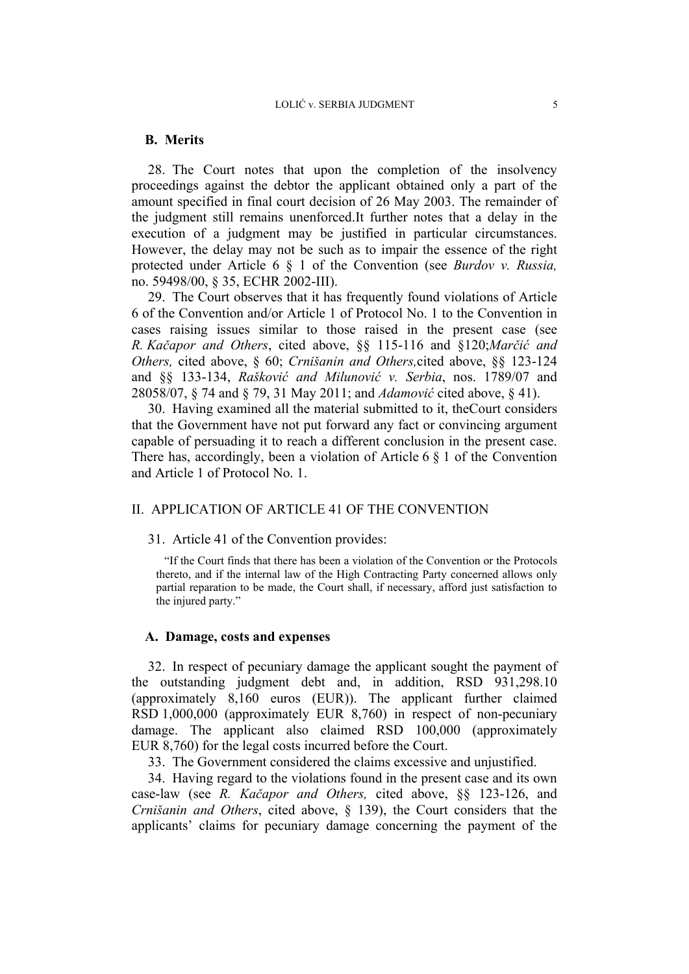#### **B. Merits**

28. The Court notes that upon the completion of the insolvency proceedings against the debtor the applicant obtained only a part of the amount specified in final court decision of 26 May 2003. The remainder of the judgment still remains unenforced.It further notes that a delay in the execution of a judgment may be justified in particular circumstances. However, the delay may not be such as to impair the essence of the right protected under Article 6 § 1 of the Convention (see *Burdov v. Russia,* no. 59498/00, § 35, ECHR 2002-III).

29. The Court observes that it has frequently found violations of Article 6 of the Convention and/or Article 1 of Protocol No. 1 to the Convention in cases raising issues similar to those raised in the present case (see *R. Kačapor and Others*, cited above, §§ 115-116 and §120;*Marčić and Others,* cited above, § 60; *Crnišanin and Others,*cited above, §§ 123-124 and §§ 133-134, *Rašković and Milunović v. Serbia*, nos. 1789/07 and 28058/07, § 74 and § 79, 31 May 2011; and *Adamović* cited above, § 41).

30. Having examined all the material submitted to it, theCourt considers that the Government have not put forward any fact or convincing argument capable of persuading it to reach a different conclusion in the present case. There has, accordingly, been a violation of Article 6  $\S$  1 of the Convention and Article 1 of Protocol No. 1.

### II. APPLICATION OF ARTICLE 41 OF THE CONVENTION

#### 31. Article 41 of the Convention provides:

"If the Court finds that there has been a violation of the Convention or the Protocols thereto, and if the internal law of the High Contracting Party concerned allows only partial reparation to be made, the Court shall, if necessary, afford just satisfaction to the injured party."

#### **A. Damage, costs and expenses**

32. In respect of pecuniary damage the applicant sought the payment of the outstanding judgment debt and, in addition, RSD 931,298.10 (approximately 8,160 euros (EUR)). The applicant further claimed RSD 1,000,000 (approximately EUR 8,760) in respect of non-pecuniary damage. The applicant also claimed RSD 100,000 (approximately EUR 8,760) for the legal costs incurred before the Court.

33. The Government considered the claims excessive and unjustified.

34. Having regard to the violations found in the present case and its own case-law (see *R. Kačapor and Others,* cited above, §§ 123-126, and *Crnišanin and Others*, cited above, § 139), the Court considers that the applicants' claims for pecuniary damage concerning the payment of the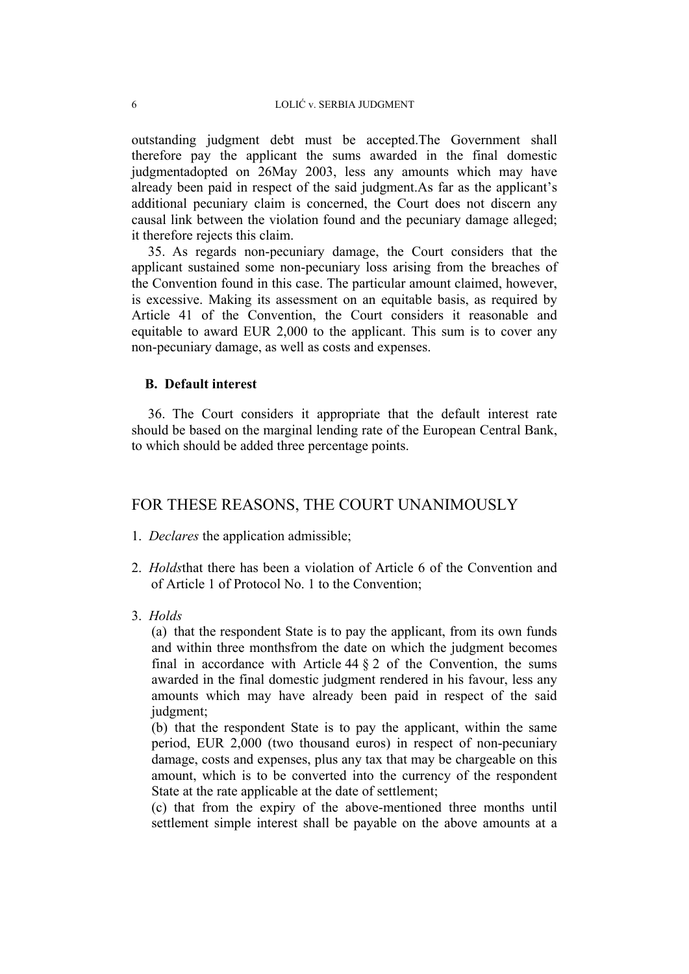outstanding judgment debt must be accepted.The Government shall therefore pay the applicant the sums awarded in the final domestic judgmentadopted on 26May 2003, less any amounts which may have already been paid in respect of the said judgment.As far as the applicant's additional pecuniary claim is concerned, the Court does not discern any causal link between the violation found and the pecuniary damage alleged; it therefore rejects this claim.

35. As regards non-pecuniary damage, the Court considers that the applicant sustained some non-pecuniary loss arising from the breaches of the Convention found in this case. The particular amount claimed, however, is excessive. Making its assessment on an equitable basis, as required by Article 41 of the Convention, the Court considers it reasonable and equitable to award EUR 2,000 to the applicant. This sum is to cover any non-pecuniary damage, as well as costs and expenses.

## **B. Default interest**

36. The Court considers it appropriate that the default interest rate should be based on the marginal lending rate of the European Central Bank, to which should be added three percentage points.

# FOR THESE REASONS, THE COURT UNANIMOUSLY

- 1. *Declares* the application admissible;
- 2. *Holds*that there has been a violation of Article 6 of the Convention and of Article 1 of Protocol No. 1 to the Convention;
- 3. *Holds*

(a) that the respondent State is to pay the applicant, from its own funds and within three monthsfrom the date on which the judgment becomes final in accordance with Article  $44 \tbinom{2}{3}$  of the Convention, the sums awarded in the final domestic judgment rendered in his favour, less any amounts which may have already been paid in respect of the said judgment;

(b) that the respondent State is to pay the applicant, within the same period, EUR 2,000 (two thousand euros) in respect of non-pecuniary damage, costs and expenses, plus any tax that may be chargeable on this amount, which is to be converted into the currency of the respondent State at the rate applicable at the date of settlement;

(c) that from the expiry of the above-mentioned three months until settlement simple interest shall be payable on the above amounts at a